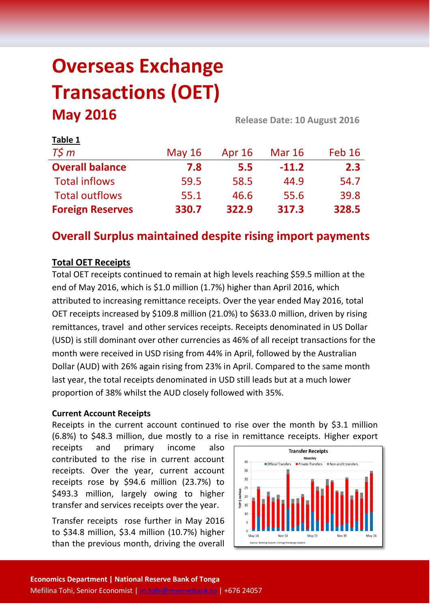# **Overseas Exchange Transactions (OET) May 2016 Release Date: 10 August <sup>2016</sup>**

| <b>I ADIE T</b>         |          |        |               |               |  |
|-------------------------|----------|--------|---------------|---------------|--|
| $T\zeta m$              | May $16$ | Apr 16 | <b>Mar 16</b> | <b>Feb 16</b> |  |
| <b>Overall balance</b>  | 7.8      | 5.5    | $-11.2$       | 2.3           |  |
| <b>Total inflows</b>    | 59.5     | 58.5   | 44.9          | 54.7          |  |
| <b>Total outflows</b>   | 55.1     | 46.6   | 55.6          | 39.8          |  |
| <b>Foreign Reserves</b> | 330.7    | 322.9  | 317.3         | 328.5         |  |

# **Overall Surplus maintained despite rising import payments**

# **Total OET Receipts**

**Table 1**

Total OET receipts continued to remain at high levels reaching \$59.5 million at the end of May 2016, which is \$1.0 million (1.7%) higher than April 2016, which attributed to increasing remittance receipts. Over the year ended May 2016, total OET receipts increased by \$109.8 million (21.0%) to \$633.0 million, driven by rising remittances, travel and other services receipts. Receipts denominated in US Dollar (USD) is still dominant over other currencies as 46% of all receipt transactions for the month were received in USD rising from 44% in April, followed by the Australian Dollar (AUD) with 26% again rising from 23% in April. Compared to the same month last year, the total receipts denominated in USD still leads but at a much lower proportion of 38% whilst the AUD closely followed with 35%.

## **Current Account Receipts**

Receipts in the current account continued to rise over the month by \$3.1 million (6.8%) to \$48.3 million, due mostly to a rise in remittance receipts. Higher export

receipts and primary income also contributed to the rise in current account receipts. Over the year, current account receipts rose by \$94.6 million (23.7%) to \$493.3 million, largely owing to higher transfer and services receipts over the year.

Transfer receipts rose further in May 2016 to \$34.8 million, \$3.4 million (10.7%) higher than the previous month, driving the overall

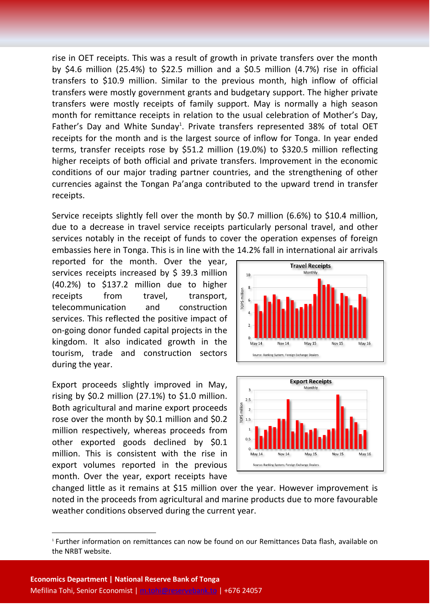rise in OET receipts. This was a result of growth in private transfers over the month by \$4.6 million (25.4%) to \$22.5 million and a \$0.5 million (4.7%) rise in official transfers to \$10.9 million. Similar to the previous month, high inflow of official transfers were mostly government grants and budgetary support. The higher private transfers were mostly receipts of family support. May is normally a high season month for remittance receipts in relation to the usual celebration of Mother's Day, Father's Day and White Sunday<sup>1</sup>. Private transfers represented 38% of total OET receipts for the month and is the largest source of inflow for Tonga. In year ended terms, transfer receipts rose by \$51.2 million (19.0%) to \$320.5 million reflecting higher receipts of both official and private transfers. Improvement in the economic conditions of our major trading partner countries, and the strengthening of other currencies against the Tongan Pa'anga contributed to the upward trend in transfer receipts.

Service receipts slightly fell over the month by \$0.7 million (6.6%) to \$10.4 million, due to a decrease in travel service receipts particularly personal travel, and other services notably in the receipt of funds to cover the operation expenses of foreign embassies here in Tonga. This is in line with the 14.2% fall in international air arrivals

reported for the month. Over the year, services receipts increased by \$ 39.3 million (40.2%) to \$137.2 million due to higher receipts from travel, transport, telecommunication and construction services. This reflected the positive impact of on-going donor funded capital projects in the kingdom. It also indicated growth in the tourism, trade and construction sectors during the year.

Export proceeds slightly improved in May, rising by \$0.2 million (27.1%) to \$1.0 million. Both agricultural and marine export proceeds rose over the month by \$0.1 million and \$0.2 million respectively, whereas proceeds from other exported goods declined by \$0.1 million. This is consistent with the rise in export volumes reported in the previous month. Over the year, export receipts have





changed little as it remains at \$15 million over the year. However improvement is noted in the proceeds from agricultural and marine products due to more favourable weather conditions observed during the current year.

**.** 

<sup>1</sup> Further information on remittances can now be found on our Remittances Data flash, available on the NRBT website.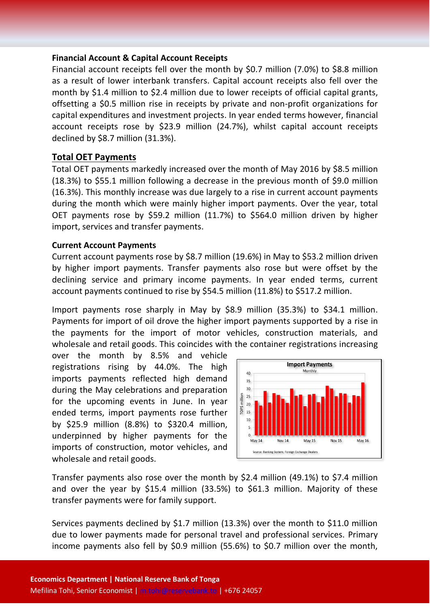#### **Financial Account & Capital Account Receipts**

Financial account receipts fell over the month by \$0.7 million (7.0%) to \$8.8 million as a result of lower interbank transfers. Capital account receipts also fell over the month by \$1.4 million to \$2.4 million due to lower receipts of official capital grants, offsetting a \$0.5 million rise in receipts by private and non-profit organizations for capital expenditures and investment projects. In year ended terms however, financial account receipts rose by \$23.9 million (24.7%), whilst capital account receipts declined by \$8.7 million (31.3%).

# **Total OET Payments**

Total OET payments markedly increased over the month of May 2016 by \$8.5 million (18.3%) to \$55.1 million following a decrease in the previous month of \$9.0 million (16.3%). This monthly increase was due largely to a rise in current account payments during the month which were mainly higher import payments. Over the year, total OET payments rose by \$59.2 million (11.7%) to \$564.0 million driven by higher import, services and transfer payments.

#### **Current Account Payments**

Current account payments rose by \$8.7 million (19.6%) in May to \$53.2 million driven by higher import payments. Transfer payments also rose but were offset by the declining service and primary income payments. In year ended terms, current account payments continued to rise by \$54.5 million (11.8%) to \$517.2 million.

Import payments rose sharply in May by \$8.9 million (35.3%) to \$34.1 million. Payments for import of oil drove the higher import payments supported by a rise in the payments for the import of motor vehicles, construction materials, and wholesale and retail goods. This coincides with the container registrations increasing

over the month by 8.5% and vehicle registrations rising by 44.0%. The high imports payments reflected high demand during the May celebrations and preparation for the upcoming events in June. In year ended terms, import payments rose further by \$25.9 million (8.8%) to \$320.4 million, underpinned by higher payments for the imports of construction, motor vehicles, and wholesale and retail goods.



Transfer payments also rose over the month by \$2.4 million (49.1%) to \$7.4 million and over the year by \$15.4 million (33.5%) to \$61.3 million. Majority of these transfer payments were for family support.

Services payments declined by \$1.7 million (13.3%) over the month to \$11.0 million due to lower payments made for personal travel and professional services. Primary income payments also fell by \$0.9 million (55.6%) to \$0.7 million over the month,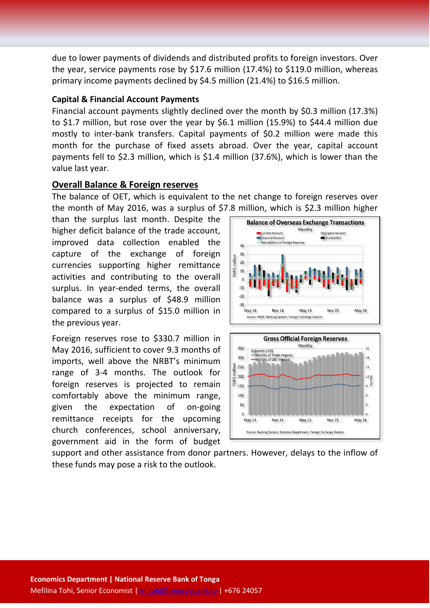due to lower payments of dividends and distributed profits to foreign investors. Over the year, service payments rose by \$17.6 million (17.4%) to \$119.0 million, whereas primary income payments declined by \$4.5 million (21.4%) to \$16.5 million.

#### **Capital & Financial Account Payments**

Financial account payments slightly declined over the month by \$0.3 million (17.3%) to \$1.7 million, but rose over the year by \$6.1 million (15.9%) to \$44.4 million due mostly to inter-bank transfers. Capital payments of \$0.2 million were made this month for the purchase of fixed assets abroad. Over the year, capital account payments fell to \$2.3 million, which is \$1.4 million (37.6%), which is lower than the value last year.

## **Overall Balance & Foreign reserves**

The balance of OET, which is equivalent to the net change to foreign reserves over the month of May 2016, was a surplus of \$7.8 million, which is \$2.3 million higher

than the surplus last month. Despite the higher deficit balance of the trade account, improved data collection enabled the capture of the exchange of foreign currencies supporting higher remittance activities and contributing to the overall surplus. In year-ended terms, the overall balance was a surplus of \$48.9 million compared to a surplus of \$15.0 million in the previous year.

Foreign reserves rose to \$330.7 million in May 2016, sufficient to cover 9.3 months of imports, well above the NRBT's minimum range of 3-4 months. The outlook for foreign reserves is projected to remain comfortably above the minimum range, given the expectation of on-going remittance receipts for the upcoming church conferences, school anniversary, government aid in the form of budget





support and other assistance from donor partners. However, delays to the inflow of these funds may pose a risk to the outlook.